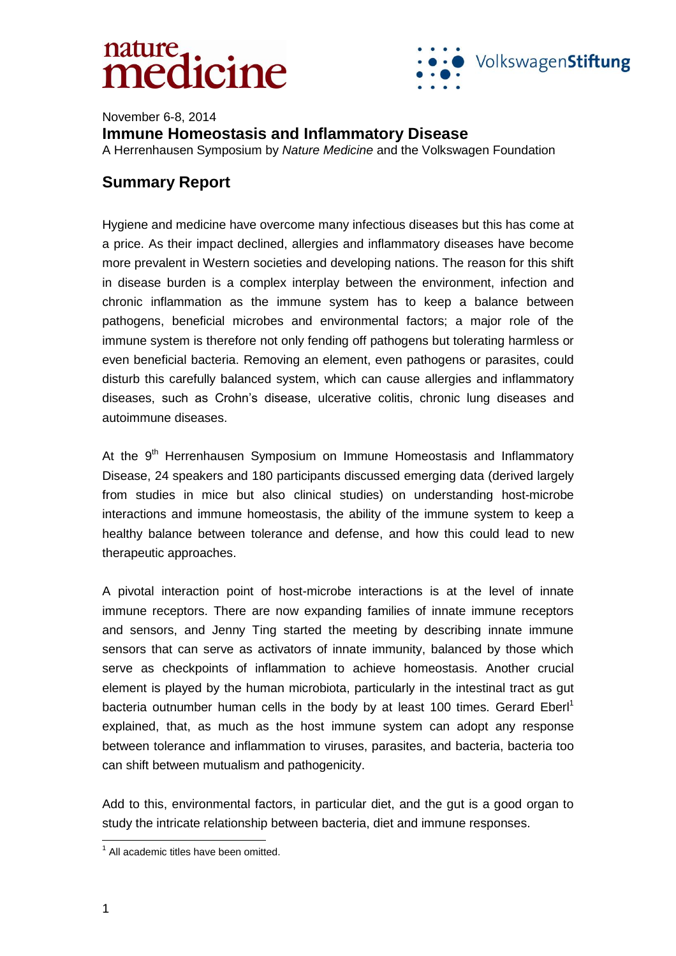

November 6-8, 2014 **Immune Homeostasis and Inflammatory Disease**  A Herrenhausen Symposium by *Nature Medicine* and the Volkswagen Foundation

#### **Summary Report**

Hygiene and medicine have overcome many infectious diseases but this has come at a price. As their impact declined, allergies and inflammatory diseases have become more prevalent in Western societies and developing nations. The reason for this shift in disease burden is a complex interplay between the environment, infection and chronic inflammation as the immune system has to keep a balance between pathogens, beneficial microbes and environmental factors; a major role of the immune system is therefore not only fending off pathogens but tolerating harmless or even beneficial bacteria. Removing an element, even pathogens or parasites, could disturb this carefully balanced system, which can cause allergies and inflammatory diseases, such as Crohn's disease, ulcerative colitis, chronic lung diseases and autoimmune diseases.

At the 9<sup>th</sup> Herrenhausen Symposium on Immune Homeostasis and Inflammatory Disease, 24 speakers and 180 participants discussed emerging data (derived largely from studies in mice but also clinical studies) on understanding host-microbe interactions and immune homeostasis, the ability of the immune system to keep a healthy balance between tolerance and defense, and how this could lead to new therapeutic approaches.

A pivotal interaction point of host-microbe interactions is at the level of innate immune receptors. There are now expanding families of innate immune receptors and sensors, and Jenny Ting started the meeting by describing innate immune sensors that can serve as activators of innate immunity, balanced by those which serve as checkpoints of inflammation to achieve homeostasis. Another crucial element is played by the human microbiota, particularly in the intestinal tract as gut bacteria outnumber human cells in the body by at least 100 times. Gerard Eberl<sup>1</sup> explained, that, as much as the host immune system can adopt any response between tolerance and inflammation to viruses, parasites, and bacteria, bacteria too can shift between mutualism and pathogenicity.

Add to this, environmental factors, in particular diet, and the gut is a good organ to study the intricate relationship between bacteria, diet and immune responses.

 1 All academic titles have been omitted.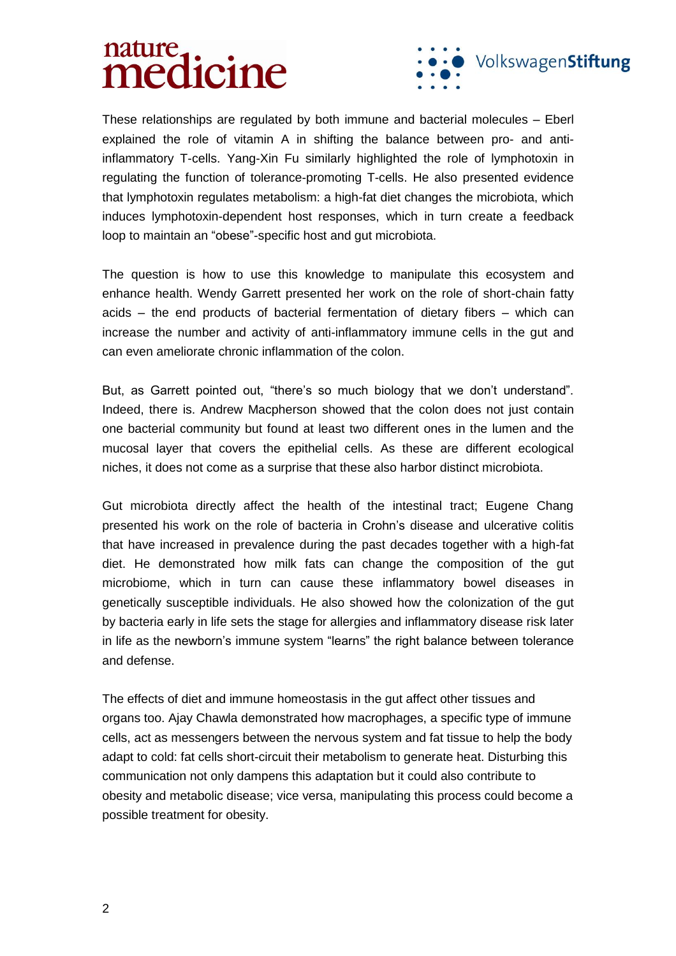

These relationships are regulated by both immune and bacterial molecules – Eberl explained the role of vitamin A in shifting the balance between pro- and antiinflammatory T-cells. Yang-Xin Fu similarly highlighted the role of lymphotoxin in regulating the function of tolerance-promoting T-cells. He also presented evidence that lymphotoxin regulates metabolism: a high-fat diet changes the microbiota, which induces lymphotoxin-dependent host responses, which in turn create a feedback loop to maintain an "obese"-specific host and gut microbiota.

The question is how to use this knowledge to manipulate this ecosystem and enhance health. Wendy Garrett presented her work on the role of short-chain fatty acids – the end products of bacterial fermentation of dietary fibers – which can increase the number and activity of anti-inflammatory immune cells in the gut and can even ameliorate chronic inflammation of the colon.

But, as Garrett pointed out, "there's so much biology that we don't understand". Indeed, there is. Andrew Macpherson showed that the colon does not just contain one bacterial community but found at least two different ones in the lumen and the mucosal layer that covers the epithelial cells. As these are different ecological niches, it does not come as a surprise that these also harbor distinct microbiota.

Gut microbiota directly affect the health of the intestinal tract; Eugene Chang presented his work on the role of bacteria in Crohn's disease and ulcerative colitis that have increased in prevalence during the past decades together with a high-fat diet. He demonstrated how milk fats can change the composition of the gut microbiome, which in turn can cause these inflammatory bowel diseases in genetically susceptible individuals. He also showed how the colonization of the gut by bacteria early in life sets the stage for allergies and inflammatory disease risk later in life as the newborn's immune system "learns" the right balance between tolerance and defense.

The effects of diet and immune homeostasis in the gut affect other tissues and organs too. Ajay Chawla demonstrated how macrophages, a specific type of immune cells, act as messengers between the nervous system and fat tissue to help the body adapt to cold: fat cells short-circuit their metabolism to generate heat. Disturbing this communication not only dampens this adaptation but it could also contribute to obesity and metabolic disease; vice versa, manipulating this process could become a possible treatment for obesity.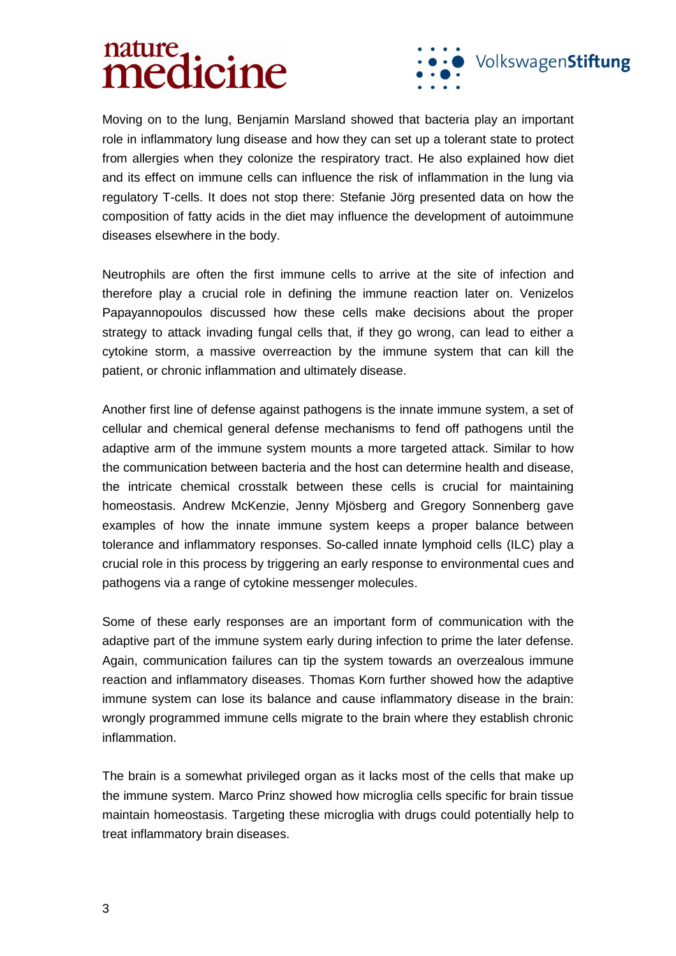

Moving on to the lung, Benjamin Marsland showed that bacteria play an important role in inflammatory lung disease and how they can set up a tolerant state to protect from allergies when they colonize the respiratory tract. He also explained how diet and its effect on immune cells can influence the risk of inflammation in the lung via regulatory T-cells. It does not stop there: Stefanie Jörg presented data on how the composition of fatty acids in the diet may influence the development of autoimmune diseases elsewhere in the body.

Neutrophils are often the first immune cells to arrive at the site of infection and therefore play a crucial role in defining the immune reaction later on. Venizelos Papayannopoulos discussed how these cells make decisions about the proper strategy to attack invading fungal cells that, if they go wrong, can lead to either a cytokine storm, a massive overreaction by the immune system that can kill the patient, or chronic inflammation and ultimately disease.

Another first line of defense against pathogens is the innate immune system, a set of cellular and chemical general defense mechanisms to fend off pathogens until the adaptive arm of the immune system mounts a more targeted attack. Similar to how the communication between bacteria and the host can determine health and disease, the intricate chemical crosstalk between these cells is crucial for maintaining homeostasis. Andrew McKenzie, Jenny Mjösberg and Gregory Sonnenberg gave examples of how the innate immune system keeps a proper balance between tolerance and inflammatory responses. So-called innate lymphoid cells (ILC) play a crucial role in this process by triggering an early response to environmental cues and pathogens via a range of cytokine messenger molecules.

Some of these early responses are an important form of communication with the adaptive part of the immune system early during infection to prime the later defense. Again, communication failures can tip the system towards an overzealous immune reaction and inflammatory diseases. Thomas Korn further showed how the adaptive immune system can lose its balance and cause inflammatory disease in the brain: wrongly programmed immune cells migrate to the brain where they establish chronic inflammation.

The brain is a somewhat privileged organ as it lacks most of the cells that make up the immune system. Marco Prinz showed how microglia cells specific for brain tissue maintain homeostasis. Targeting these microglia with drugs could potentially help to treat inflammatory brain diseases.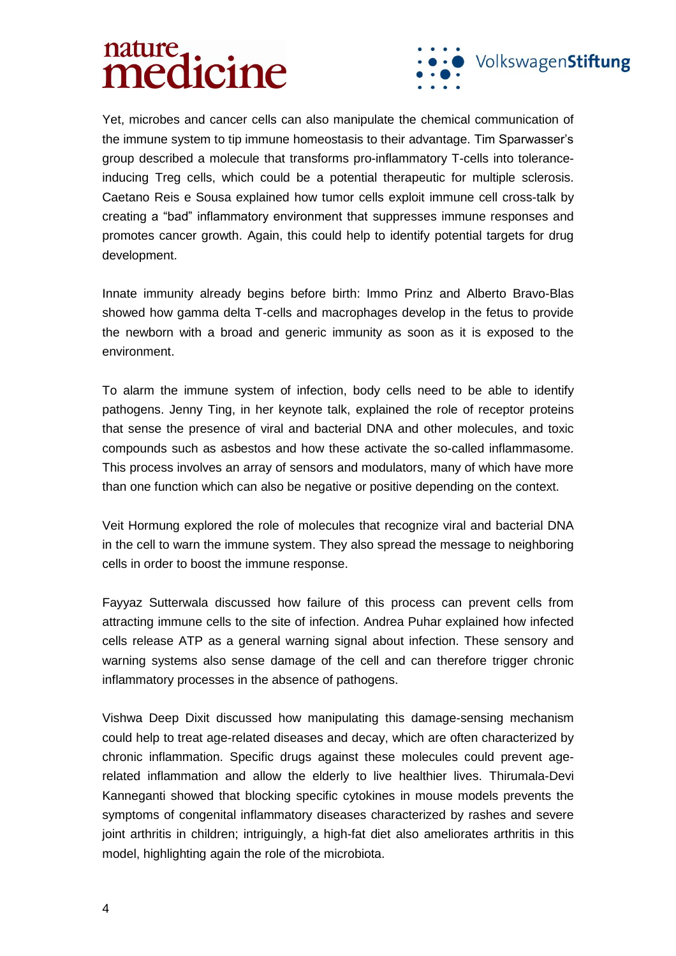# nature. mature



Yet, microbes and cancer cells can also manipulate the chemical communication of the immune system to tip immune homeostasis to their advantage. Tim Sparwasser's group described a molecule that transforms pro-inflammatory T-cells into toleranceinducing Treg cells, which could be a potential therapeutic for multiple sclerosis. Caetano Reis e Sousa explained how tumor cells exploit immune cell cross-talk by creating a "bad" inflammatory environment that suppresses immune responses and promotes cancer growth. Again, this could help to identify potential targets for drug development.

Innate immunity already begins before birth: Immo Prinz and Alberto Bravo-Blas showed how gamma delta T-cells and macrophages develop in the fetus to provide the newborn with a broad and generic immunity as soon as it is exposed to the environment.

To alarm the immune system of infection, body cells need to be able to identify pathogens. Jenny Ting, in her keynote talk, explained the role of receptor proteins that sense the presence of viral and bacterial DNA and other molecules, and toxic compounds such as asbestos and how these activate the so-called inflammasome. This process involves an array of sensors and modulators, many of which have more than one function which can also be negative or positive depending on the context.

Veit Hormung explored the role of molecules that recognize viral and bacterial DNA in the cell to warn the immune system. They also spread the message to neighboring cells in order to boost the immune response.

Fayyaz Sutterwala discussed how failure of this process can prevent cells from attracting immune cells to the site of infection. Andrea Puhar explained how infected cells release ATP as a general warning signal about infection. These sensory and warning systems also sense damage of the cell and can therefore trigger chronic inflammatory processes in the absence of pathogens.

Vishwa Deep Dixit discussed how manipulating this damage-sensing mechanism could help to treat age-related diseases and decay, which are often characterized by chronic inflammation. Specific drugs against these molecules could prevent agerelated inflammation and allow the elderly to live healthier lives. Thirumala-Devi Kanneganti showed that blocking specific cytokines in mouse models prevents the symptoms of congenital inflammatory diseases characterized by rashes and severe joint arthritis in children; intriguingly, a high-fat diet also ameliorates arthritis in this model, highlighting again the role of the microbiota.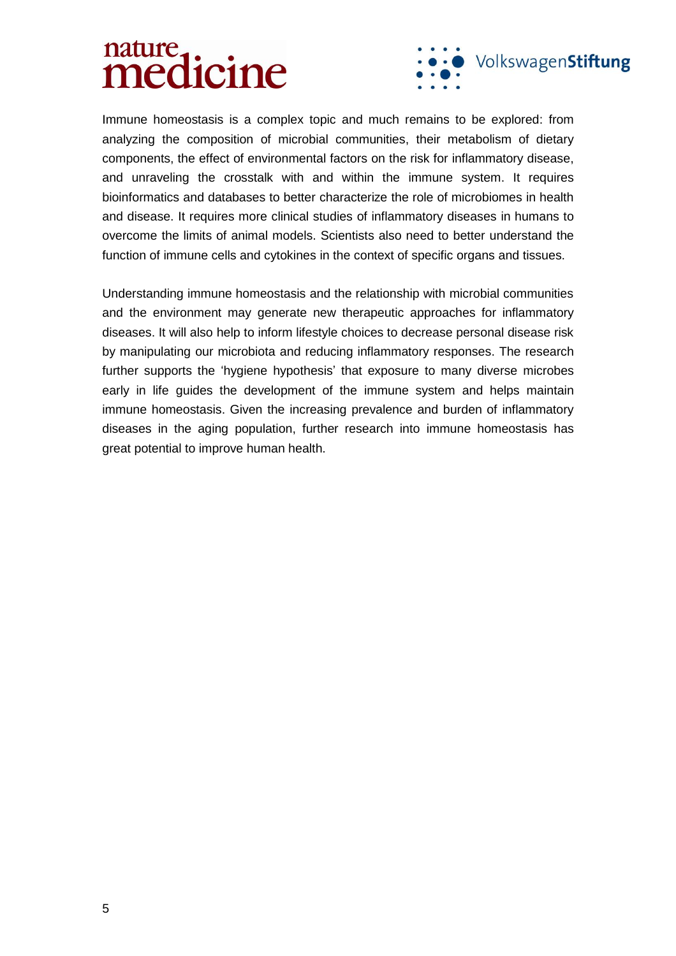

Immune homeostasis is a complex topic and much remains to be explored: from analyzing the composition of microbial communities, their metabolism of dietary components, the effect of environmental factors on the risk for inflammatory disease, and unraveling the crosstalk with and within the immune system. It requires bioinformatics and databases to better characterize the role of microbiomes in health and disease. It requires more clinical studies of inflammatory diseases in humans to overcome the limits of animal models. Scientists also need to better understand the function of immune cells and cytokines in the context of specific organs and tissues.

Understanding immune homeostasis and the relationship with microbial communities and the environment may generate new therapeutic approaches for inflammatory diseases. It will also help to inform lifestyle choices to decrease personal disease risk by manipulating our microbiota and reducing inflammatory responses. The research further supports the 'hygiene hypothesis' that exposure to many diverse microbes early in life guides the development of the immune system and helps maintain immune homeostasis. Given the increasing prevalence and burden of inflammatory diseases in the aging population, further research into immune homeostasis has great potential to improve human health.